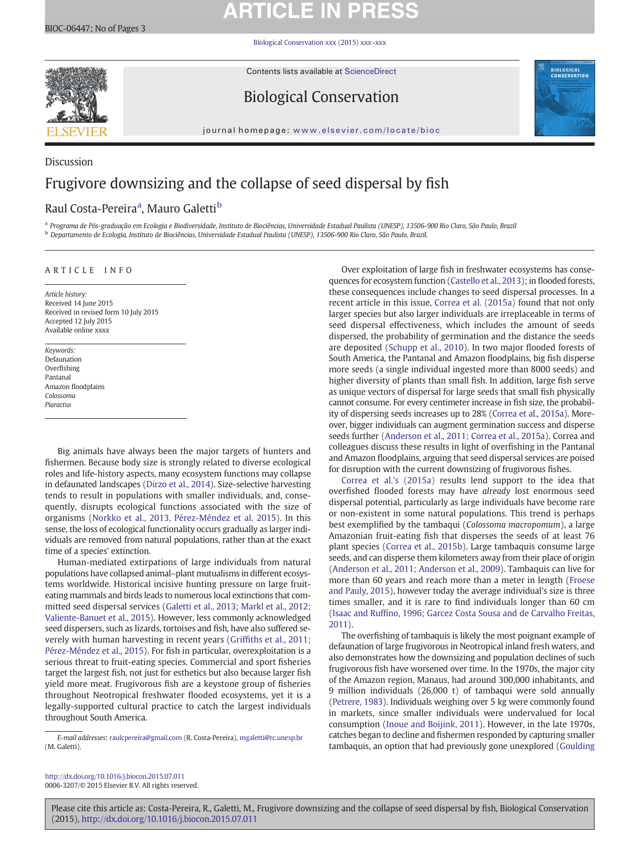# **ARTICLE IN PRESS**

[Biological Conservation xxx \(2015\) xxx](http://dx.doi.org/10.1016/j.biocon.2015.07.011)–xxx



Contents lists available at ScienceDirect

Biological Conservation



journal homepage: <www.elsevier.com/locate/bioc>

# Discussion Frugivore downsizing and the collapse of seed dispersal by fish

## Raul Costa-Pereiraª, Mauro Galetti<sup>b</sup>

a Programa de Pós-graduação em Ecologia e Biodiversidade, Instituto de Biociências, Universidade Estadual Paulista (UNESP), 13506-900 Rio Claro, São Paulo, Brazil <sup>b</sup> Departamento de Ecologia, Instituto de Biociências, Universidade Estadual Paulista (UNESP), 13506-900 Rio Claro, São Paulo, Brazil.

## ARTICLE INFO

Article history: Received 14 June 2015 Received in revised form 10 July 2015 Accepted 12 July 2015 Available online xxxx

Keywords: Defaunation Overfishing Pantanal Amazon floodplains Colossoma **Piaractus** 

Big animals have always been the major targets of hunters and fishermen. Because body size is strongly related to diverse ecological roles and life-history aspects, many ecosystem functions may collapse in defaunated landscapes [\(Dirzo et al., 2014](#page-1-0)). Size-selective harvesting tends to result in populations with smaller individuals, and, consequently, disrupts ecological functions associated with the size of organisms [\(Norkko et al., 2013, Pérez-Méndez et al. 2015\)](#page-1-0). In this sense, the loss of ecological functionality occurs gradually as larger individuals are removed from natural populations, rather than at the exact time of a species' extinction.

Human-mediated extirpations of large individuals from natural populations have collapsed animal–plant mutualisms in different ecosystems worldwide. Historical incisive hunting pressure on large fruiteating mammals and birds leads to numerous local extinctions that committed seed dispersal services ([Galetti et al., 2013; Markl et al., 2012;](#page-1-0) [Valiente-Banuet et al., 2015\)](#page-1-0). However, less commonly acknowledged seed dispersers, such as lizards, tortoises and fish, have also suffered severely with human harvesting in recent years (Griffi[ths et al., 2011;](#page-1-0) [Pérez-Méndez et al., 2015\)](#page-1-0). For fish in particular, overexploitation is a serious threat to fruit-eating species. Commercial and sport fisheries target the largest fish, not just for esthetics but also because larger fish yield more meat. Frugivorous fish are a keystone group of fisheries throughout Neotropical freshwater flooded ecosystems, yet it is a legally-supported cultural practice to catch the largest individuals throughout South America.

<http://dx.doi.org/10.1016/j.biocon.2015.07.011> 0006-3207/© 2015 Elsevier B.V. All rights reserved.

Over exploitation of large fish in freshwater ecosystems has consequences for ecosystem function [\(Castello et al., 2013\)](#page-1-0); in flooded forests, these consequences include changes to seed dispersal processes. In a recent article in this issue, [Correa et al. \(2015a\)](#page-1-0) found that not only larger species but also larger individuals are irreplaceable in terms of seed dispersal effectiveness, which includes the amount of seeds dispersed, the probability of germination and the distance the seeds are deposited ([Schupp et al., 2010\)](#page-2-0). In two major flooded forests of South America, the Pantanal and Amazon floodplains, big fish disperse more seeds (a single individual ingested more than 8000 seeds) and higher diversity of plants than small fish. In addition, large fish serve as unique vectors of dispersal for large seeds that small fish physically cannot consume. For every centimeter increase in fish size, the probability of dispersing seeds increases up to 28% [\(Correa et al., 2015a](#page-1-0)). Moreover, bigger individuals can augment germination success and disperse seeds further [\(Anderson et al., 2011; Correa et al., 2015a\)](#page-1-0). Correa and colleagues discuss these results in light of overfishing in the Pantanal and Amazon floodplains, arguing that seed dispersal services are poised for disruption with the current downsizing of frugivorous fishes.

[Correa et al.'s \(2015a\)](#page-1-0) results lend support to the idea that overfished flooded forests may have already lost enormous seed dispersal potential, particularly as large individuals have become rare or non-existent in some natural populations. This trend is perhaps best exemplified by the tambaqui (Colossoma macropomum), a large Amazonian fruit-eating fish that disperses the seeds of at least 76 plant species ([Correa et al., 2015b\)](#page-1-0). Large tambaquis consume large seeds, and can disperse them kilometers away from their place of origin [\(Anderson et al., 2011; Anderson et al., 2009](#page-1-0)). Tambaquis can live for more than 60 years and reach more than a meter in length ([Froese](#page-1-0) [and Pauly, 2015\)](#page-1-0), however today the average individual's size is three times smaller, and it is rare to find individuals longer than 60 cm (Isaac and Ruffi[no, 1996; Garcez Costa Sousa and de Carvalho Freitas,](#page-1-0) [2011](#page-1-0)).

The overfishing of tambaquis is likely the most poignant example of defaunation of large frugivorous in Neotropical inland fresh waters, and also demonstrates how the downsizing and population declines of such frugivorous fish have worsened over time. In the 1970s, the major city of the Amazon region, Manaus, had around 300,000 inhabitants, and 9 million individuals (26,000 t) of tambaqui were sold annually [\(Petrere, 1983](#page-1-0)). Individuals weighing over 5 kg were commonly found in markets, since smaller individuals were undervalued for local consumption ([Inoue and Boijink, 2011\)](#page-1-0). However, in the late 1970s, catches began to decline and fishermen responded by capturing smaller tambaquis, an option that had previously gone unexplored ([Goulding](#page-1-0)

Please cite this article as: Costa-Pereira, R., Galetti, M., Frugivore downsizing and the collapse of seed dispersal by fish, Biological Conservation (2015), <http://dx.doi.org/10.1016/j.biocon.2015.07.011>

E-mail addresses: [raulcpereira@gmail.com](mailto:raulcpereira@gmail.com) (R. Costa-Pereira), [mgaletti@rc.unesp.br](mailto:mgaletti@rc.unesp.br) (M. Galetti).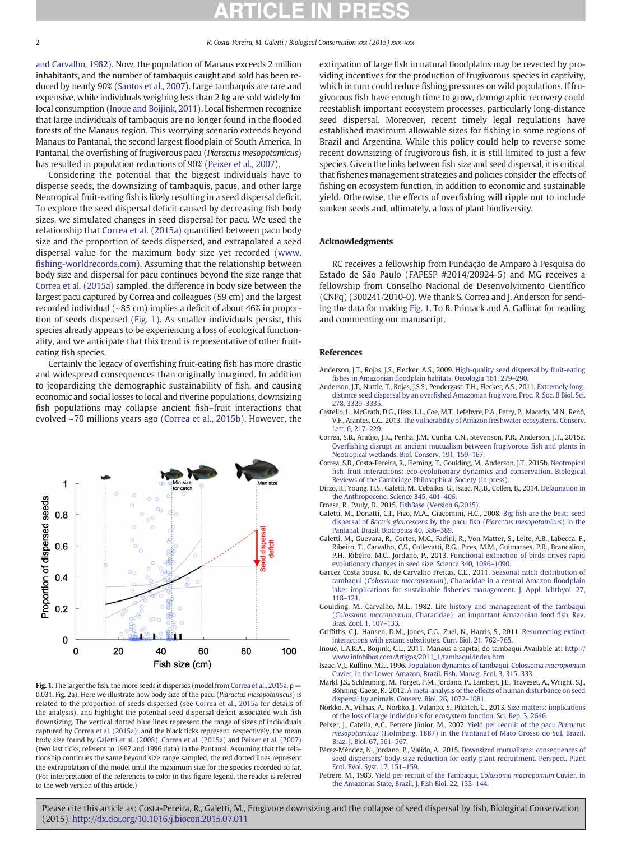<span id="page-1-0"></span>and Carvalho, 1982). Now, the population of Manaus exceeds 2 million inhabitants, and the number of tambaquis caught and sold has been reduced by nearly 90% [\(Santos et al., 2007\)](#page-2-0). Large tambaquis are rare and expensive, while individuals weighing less than 2 kg are sold widely for local consumption (Inoue and Boijink, 2011). Local fishermen recognize that large individuals of tambaquis are no longer found in the flooded forests of the Manaus region. This worrying scenario extends beyond Manaus to Pantanal, the second largest floodplain of South America. In Pantanal, the overfishing of frugivorous pacu (Piaractus mesopotamicus) has resulted in population reductions of 90% (Peixer et al., 2007).

Considering the potential that the biggest individuals have to disperse seeds, the downsizing of tambaquis, pacus, and other large Neotropical fruit-eating fish is likely resulting in a seed dispersal deficit. To explore the seed dispersal deficit caused by decreasing fish body sizes, we simulated changes in seed dispersal for pacu. We used the relationship that Correa et al. (2015a) quantified between pacu body size and the proportion of seeds dispersed, and extrapolated a seed dispersal value for the maximum body size yet recorded [\(www.](http://www.fishing-worldrecords.com) fi[shing-worldrecords.com\)](http://www.fishing-worldrecords.com). Assuming that the relationship between body size and dispersal for pacu continues beyond the size range that Correa et al. (2015a) sampled, the difference in body size between the largest pacu captured by Correa and colleagues (59 cm) and the largest recorded individual (~85 cm) implies a deficit of about 46% in proportion of seeds dispersed (Fig. 1). As smaller individuals persist, this species already appears to be experiencing a loss of ecological functionality, and we anticipate that this trend is representative of other fruiteating fish species.

Certainly the legacy of overfishing fruit-eating fish has more drastic and widespread consequences than originally imagined. In addition to jeopardizing the demographic sustainability of fish, and causing economic and social losses to local and riverine populations, downsizing fish populations may collapse ancient fish–fruit interactions that evolved ~70 millions years ago (Correa et al., 2015b). However, the



Fig. 1. The larger the fish, the more seeds it disperses (model from Correa et al., 2015a,  $p=$ 0.031, Fig. 2a). Here we illustrate how body size of the pacu (Piaractus mesopotamicus) is related to the proportion of seeds dispersed (see Correa et al., 2015a for details of the analysis), and highlight the potential seed dispersal deficit associated with fish downsizing. The vertical dotted blue lines represent the range of sizes of individuals captured by Correa et al. (2015a); and the black ticks represent, respectively, the mean body size found by Galetti et al. (2008), Correa et al. (2015a) and Peixer et al. (2007) (two last ticks, referent to 1997 and 1996 data) in the Pantanal. Assuming that the relationship continues the same beyond size range sampled, the red dotted lines represent the extrapolation of the model until the maximum size for the species recorded so far. (For interpretation of the references to color in this figure legend, the reader is referred to the web version of this article.)

extirpation of large fish in natural floodplains may be reverted by providing incentives for the production of frugivorous species in captivity, which in turn could reduce fishing pressures on wild populations. If frugivorous fish have enough time to grow, demographic recovery could reestablish important ecosystem processes, particularly long-distance seed dispersal. Moreover, recent timely legal regulations have established maximum allowable sizes for fishing in some regions of Brazil and Argentina. While this policy could help to reverse some recent downsizing of frugivorous fish, it is still limited to just a few species. Given the links between fish size and seed dispersal, it is critical that fisheries management strategies and policies consider the effects of fishing on ecosystem function, in addition to economic and sustainable yield. Otherwise, the effects of overfishing will ripple out to include sunken seeds and, ultimately, a loss of plant biodiversity.

### Acknowledgments

RC receives a fellowship from Fundação de Amparo à Pesquisa do Estado de São Paulo (FAPESP #2014/20924-5) and MG receives a fellowship from Conselho Nacional de Desenvolvimento Científico (CNPq) (300241/2010-0). We thank S. Correa and J. Anderson for sending the data for making Fig. 1. To R. Primack and A. Gallinat for reading and commenting our manuscript.

## References

- Anderson, J.T., Rojas, J.S., Flecker, A.S., 2009. [High-quality seed dispersal by fruit-eating](http://refhub.elsevier.com/S0006-3207(15)30020-3/rf0005) fishes in Amazonian fl[oodplain habitats. Oecologia 161, 279](http://refhub.elsevier.com/S0006-3207(15)30020-3/rf0005)–290.
- Anderson, J.T., Nuttle, T., Rojas, J.S.S., Pendergast, T.H., Flecker, A.S., 2011. [Extremely long](http://refhub.elsevier.com/S0006-3207(15)30020-3/rf0010)distance seed dispersal by an overfi[shed Amazonian frugivore. Proc. R. Soc. B Biol. Sci.](http://refhub.elsevier.com/S0006-3207(15)30020-3/rf0010) [278, 3329](http://refhub.elsevier.com/S0006-3207(15)30020-3/rf0010)–3335.
- Castello, L., McGrath, D.G., Hess, L.L., Coe, M.T., Lefebvre, P.A., Petry, P., Macedo, M.N., Renó, V.F., Arantes, C.C., 2013. [The vulnerability of Amazon freshwater ecosystems. Conserv.](http://refhub.elsevier.com/S0006-3207(15)30020-3/rf0015) [Lett. 6, 217](http://refhub.elsevier.com/S0006-3207(15)30020-3/rf0015)–229.
- Correa, S.B., Araújo, J.K., Penha, J.M., Cunha, C.N., Stevenson, P.R., Anderson, J.T., 2015a. Overfi[shing disrupt an ancient mutualism between frugivorous](http://refhub.elsevier.com/S0006-3207(15)30020-3/rf0020) fish and plants in [Neotropical wetlands. Biol. Conserv. 191, 159](http://refhub.elsevier.com/S0006-3207(15)30020-3/rf0020)–167.
- Correa, S.B., Costa-Pereira, R., Fleming, T., Goulding, M., Anderson, J.T., 2015b. [Neotropical](http://refhub.elsevier.com/S0006-3207(15)30020-3/rf0025) fish–[fruit interactions: eco-evolutionary dynamics and conservation. Biological](http://refhub.elsevier.com/S0006-3207(15)30020-3/rf0025) [Reviews of the Cambridge Philosophical Society \(in press\)](http://refhub.elsevier.com/S0006-3207(15)30020-3/rf0025).
- Dirzo, R., Young, H.S., Galetti, M., Ceballos, G., Isaac, N.J.B., Collen, B., 2014. [Defaunation in](http://refhub.elsevier.com/S0006-3207(15)30020-3/rf0030) [the Anthropocene. Science 345, 401](http://refhub.elsevier.com/S0006-3207(15)30020-3/rf0030)–406.
- Froese, R., Pauly, D., 2015. [FishBase \(Version 6/2015\).](http://refhub.elsevier.com/S0006-3207(15)30020-3/rf0035)
- Galetti, M., Donatti, C.I., Pizo, M.A., Giacomini, H.C., 2008. Big fi[sh are the best: seed](http://refhub.elsevier.com/S0006-3207(15)30020-3/rf0040) dispersal of Bactris glaucescens by the pacu fish ([Piaractus mesopotamicus](http://refhub.elsevier.com/S0006-3207(15)30020-3/rf0040)) in the [Pantanal, Brazil. Biotropica 40, 386](http://refhub.elsevier.com/S0006-3207(15)30020-3/rf0040)–389.
- Galetti, M., Guevara, R., Cortes, M.C., Fadini, R., Von Matter, S., Leite, A.B., Labecca, F., Ribeiro, T., Carvalho, C.S., Collevatti, R.G., Pires, M.M., Guimaraes, P.R., Brancalion, P.H., Ribeiro, M.C., Jordano, P., 2013. [Functional extinction of birds drives rapid](http://refhub.elsevier.com/S0006-3207(15)30020-3/rf0045) [evolutionary changes in seed size. Science 340, 1086](http://refhub.elsevier.com/S0006-3207(15)30020-3/rf0045)–1090.
- Garcez Costa Sousa, R., de Carvalho Freitas, C.E., 2011. [Seasonal catch distribution of](http://refhub.elsevier.com/S0006-3207(15)30020-3/rf0050) tambaqui (Colossoma macropomum[\), Characidae in a central Amazon](http://refhub.elsevier.com/S0006-3207(15)30020-3/rf0050) floodplain lake: implications for sustainable fi[sheries management. J. Appl. Ichthyol. 27,](http://refhub.elsevier.com/S0006-3207(15)30020-3/rf0050) 118–[121.](http://refhub.elsevier.com/S0006-3207(15)30020-3/rf0050)
- Goulding, M., Carvalho, M.L., 1982. [Life history and management of the tambaqui](http://refhub.elsevier.com/S0006-3207(15)30020-3/rf0055) (Colossoma macropomum[, Characidae\): an important Amazonian food](http://refhub.elsevier.com/S0006-3207(15)30020-3/rf0055) fish. Rev. [Bras. Zool. 1, 107](http://refhub.elsevier.com/S0006-3207(15)30020-3/rf0055)–133.
- Griffiths, C.J., Hansen, D.M., Jones, C.G., Zuel, N., Harris, S., 2011. [Resurrecting extinct](http://refhub.elsevier.com/S0006-3207(15)30020-3/rf0060) [interactions with extant substitutes. Curr. Biol. 21, 762](http://refhub.elsevier.com/S0006-3207(15)30020-3/rf0060)–765.
- Inoue, L.A.K.A., Boijink, C.L., 2011. Manaus a capital do tambaqui Available at: [http://](http://www.infobibos.com/Artigos/2011_1/tambaqui/index.htm) [www.infobibos.com/Artigos/2011\\_1/tambaqui/index.htm](http://www.infobibos.com/Artigos/2011_1/tambaqui/index.htm).
- Isaac, V.J., Ruffino, M.L., 1996. [Population dynamics of tambaqui, Colossoma](http://refhub.elsevier.com/S0006-3207(15)30020-3/rf0070) macropomum [Cuvier, in the Lower Amazon, Brazil. Fish. Manag. Ecol. 3, 315](http://refhub.elsevier.com/S0006-3207(15)30020-3/rf0070)–333.
- Markl, J.S., Schleuning, M., Forget, P.M., Jordano, P., Lambert, J.E., Traveset, A., Wright, S.J., Böhning-Gaese, K., 2012. [A meta-analysis of the effects of human disturbance on seed](http://refhub.elsevier.com/S0006-3207(15)30020-3/rf0075) [dispersal by animals. Conserv. Biol. 26, 1072](http://refhub.elsevier.com/S0006-3207(15)30020-3/rf0075)–1081.
- Norkko, A., Villnas, A., Norkko, J., Valanko, S., Pilditch, C., 2013. [Size matters: implications](http://refhub.elsevier.com/S0006-3207(15)30020-3/rf9000) [of the loss of large individuals for ecosystem function. Sci. Rep. 3, 2646](http://refhub.elsevier.com/S0006-3207(15)30020-3/rf9000).
- Peixer, J., Catella, A.C., Petrere Júnior, M., 2007. [Yield per recruit of the pacu](http://refhub.elsevier.com/S0006-3207(15)30020-3/rf0085) Piaractus mesopotamicus [\(Holmberg, 1887\) in the Pantanal of Mato Grosso do Sul, Brazil.](http://refhub.elsevier.com/S0006-3207(15)30020-3/rf0085) [Braz. J. Biol. 67, 561](http://refhub.elsevier.com/S0006-3207(15)30020-3/rf0085)–567.
- Pérez-Méndez, N., Jordano, P., Valido, A., 2015. [Downsized mutualisms: consequences of](http://refhub.elsevier.com/S0006-3207(15)30020-3/rf0090) [seed dispersers' body-size reduction for early plant recruitment. Perspect. Plant](http://refhub.elsevier.com/S0006-3207(15)30020-3/rf0090) [Ecol. Evol. Syst. 17, 151](http://refhub.elsevier.com/S0006-3207(15)30020-3/rf0090)–159.
- Petrere, M., 1983. [Yield per recruit of the Tambaqui,](http://refhub.elsevier.com/S0006-3207(15)30020-3/rf0095) Colossoma macropomum Cuvier, in [the Amazonas State, Brazil. J. Fish Biol. 22, 133](http://refhub.elsevier.com/S0006-3207(15)30020-3/rf0095)–144.

Please cite this article as: Costa-Pereira, R., Galetti, M., Frugivore downsizing and the collapse of seed dispersal by fish, Biological Conservation (2015), <http://dx.doi.org/10.1016/j.biocon.2015.07.011>